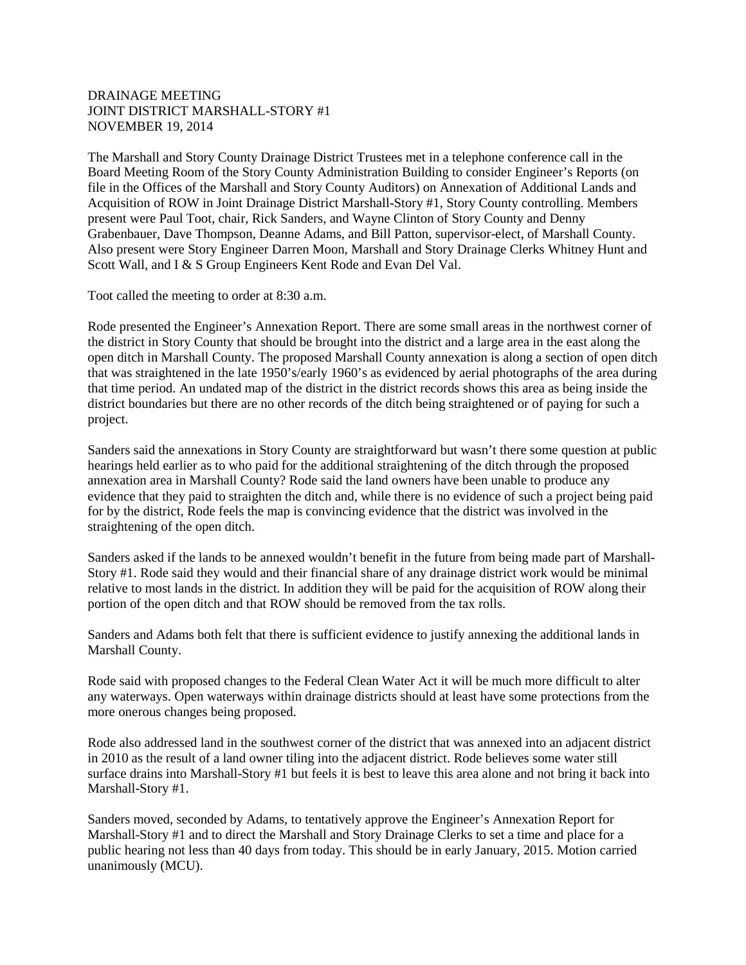## DRAINAGE MEETING JOINT DISTRICT MARSHALL-STORY #1 NOVEMBER 19, 2014

The Marshall and Story County Drainage District Trustees met in a telephone conference call in the Board Meeting Room of the Story County Administration Building to consider Engineer's Reports (on file in the Offices of the Marshall and Story County Auditors) on Annexation of Additional Lands and Acquisition of ROW in Joint Drainage District Marshall-Story #1, Story County controlling. Members present were Paul Toot, chair, Rick Sanders, and Wayne Clinton of Story County and Denny Grabenbauer, Dave Thompson, Deanne Adams, and Bill Patton, supervisor-elect, of Marshall County. Also present were Story Engineer Darren Moon, Marshall and Story Drainage Clerks Whitney Hunt and Scott Wall, and I & S Group Engineers Kent Rode and Evan Del Val.

Toot called the meeting to order at 8:30 a.m.

Rode presented the Engineer's Annexation Report. There are some small areas in the northwest corner of the district in Story County that should be brought into the district and a large area in the east along the open ditch in Marshall County. The proposed Marshall County annexation is along a section of open ditch that was straightened in the late 1950's/early 1960's as evidenced by aerial photographs of the area during that time period. An undated map of the district in the district records shows this area as being inside the district boundaries but there are no other records of the ditch being straightened or of paying for such a project.

Sanders said the annexations in Story County are straightforward but wasn't there some question at public hearings held earlier as to who paid for the additional straightening of the ditch through the proposed annexation area in Marshall County? Rode said the land owners have been unable to produce any evidence that they paid to straighten the ditch and, while there is no evidence of such a project being paid for by the district, Rode feels the map is convincing evidence that the district was involved in the straightening of the open ditch.

Sanders asked if the lands to be annexed wouldn't benefit in the future from being made part of Marshall-Story #1. Rode said they would and their financial share of any drainage district work would be minimal relative to most lands in the district. In addition they will be paid for the acquisition of ROW along their portion of the open ditch and that ROW should be removed from the tax rolls.

Sanders and Adams both felt that there is sufficient evidence to justify annexing the additional lands in Marshall County.

Rode said with proposed changes to the Federal Clean Water Act it will be much more difficult to alter any waterways. Open waterways within drainage districts should at least have some protections from the more onerous changes being proposed.

Rode also addressed land in the southwest corner of the district that was annexed into an adjacent district in 2010 as the result of a land owner tiling into the adjacent district. Rode believes some water still surface drains into Marshall-Story #1 but feels it is best to leave this area alone and not bring it back into Marshall-Story #1.

Sanders moved, seconded by Adams, to tentatively approve the Engineer's Annexation Report for Marshall-Story #1 and to direct the Marshall and Story Drainage Clerks to set a time and place for a public hearing not less than 40 days from today. This should be in early January, 2015. Motion carried unanimously (MCU).